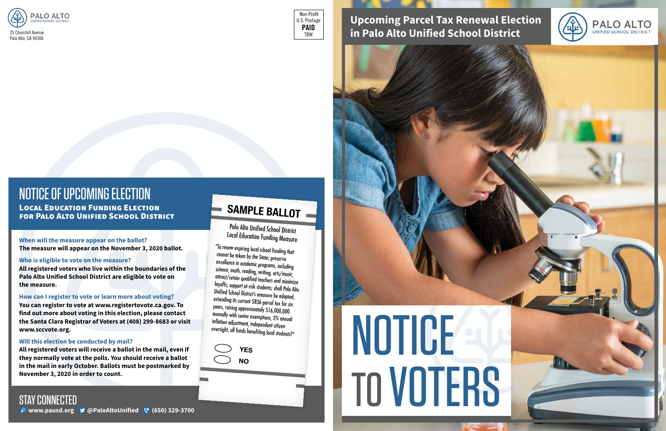

# **Upcoming Parcel Tax Renewal Election in Palo Alto Unified School District**

#### **When will the measure appear on the ballot?**

**The measure will appear on the November 3, 2020 ballot.** 

#### **Who is eligible to vote on the measure?**

**All registered voters who live within the boundaries of the Palo Alto Unified School District are eligible to vote on the measure.** 

#### **How can I register to vote or learn more about voting?**

**You can register to vote at www.registertovote.ca.gov. To find out more about voting in this election, please contact the Santa Clara Registrar of Voters at (408) 299-8683 or visit www.sccvote.org.**

#### **Will this election be conducted by mail?**

### STAY CONNECTED *\** **www.pausd.org <b>9** @PaloAltoUnified (° (650) 329-3700

**All registered voters will receive a ballot in the mail, even if they normally vote at the polls. You should receive a ballot in the mail in early October. Ballots must be postmarked by November 3, 2020 in order to count.** 

Palo Alto Unified School District Local Education Funding Measure

"To renew expiring local school funding that cannot be taken by the State; preserve excellence in academic programs, including science, math, reading, writing, arts/music; attract/retain qualified teachers and minimize layoffs; support at-risk students; shall Palo Alto Unified School District's measure be adopted, extending its current \$836 parcel tax for six years, raising approximately \$16,000,000 annually with senior exemptions, 2% annual inflation adjustment, independent citizen oversight, all funds benefiting local students?"

# **SAMPLE BALLOT**

**YES NO**





## NOTICE OF UPCOMING ELECTION Local Education Funding Election for Palo Alto Unified School District

 Non-Profit U.S. Postage **PAID** TBW